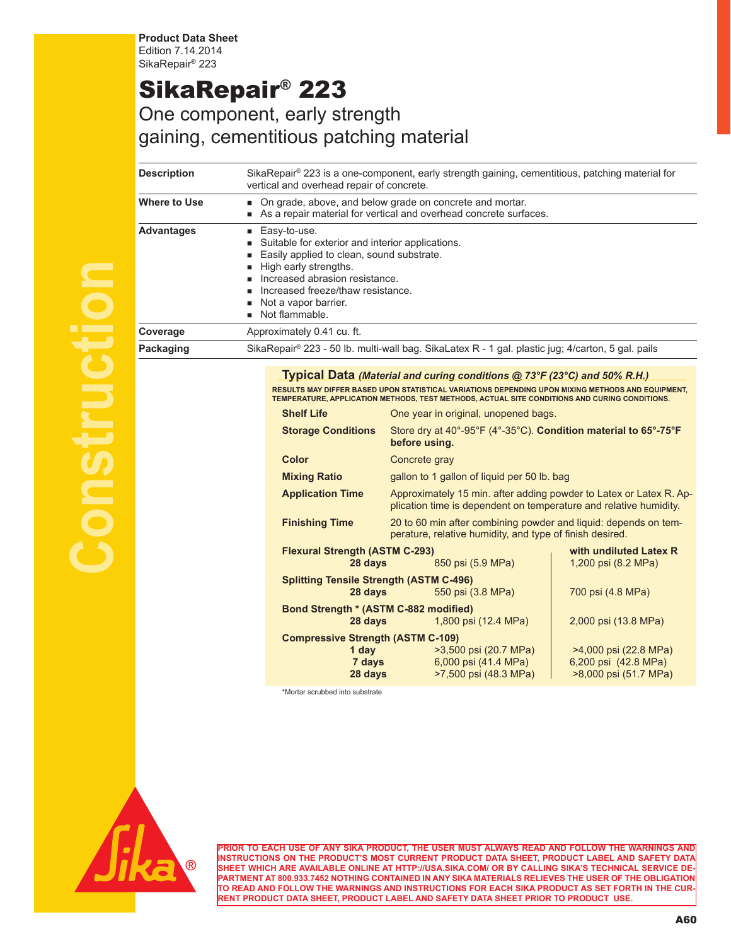**Product Data Sheet** Edition 7.14.2014 SikaRepair® 223

## SikaRepair® 223

## One component, early strength gaining, cementitious patching material

| <b>Description</b> | SikaRepair® 223 is a one-component, early strength gaining, cementitious, patching material for<br>vertical and overhead repair of concrete.                                                                                                                 |                                                                                                                                                                                                                                                                                |  |
|--------------------|--------------------------------------------------------------------------------------------------------------------------------------------------------------------------------------------------------------------------------------------------------------|--------------------------------------------------------------------------------------------------------------------------------------------------------------------------------------------------------------------------------------------------------------------------------|--|
| Where to Use       | On grade, above, and below grade on concrete and mortar.<br>As a repair material for vertical and overhead concrete surfaces.                                                                                                                                |                                                                                                                                                                                                                                                                                |  |
| <b>Advantages</b>  | Easy-to-use.<br>ш<br>Suitable for exterior and interior applications.<br>Easily applied to clean, sound substrate.<br>High early strengths.<br>Increased abrasion resistance.<br>Increased freeze/thaw resistance.<br>Not a vapor barrier.<br>Not flammable. |                                                                                                                                                                                                                                                                                |  |
| Coverage           | Approximately 0.41 cu. ft.                                                                                                                                                                                                                                   |                                                                                                                                                                                                                                                                                |  |
| Packaging          | SikaRepair® 223 - 50 lb. multi-wall bag. SikaLatex R - 1 gal. plastic jug; 4/carton, 5 gal. pails                                                                                                                                                            |                                                                                                                                                                                                                                                                                |  |
|                    |                                                                                                                                                                                                                                                              | Typical Data (Material and curing conditions @ 73°F (23°C) and 50% R.H.)<br>RESULTS MAY DIFFER BASED UPON STATISTICAL VARIATIONS DEPENDING UPON MIXING METHODS AND EQUIPMENT,<br>TEMPERATURE, APPLICATION METHODS, TEST METHODS, ACTUAL SITE CONDITIONS AND CURING CONDITIONS. |  |
|                    | <b>Shelf Life</b>                                                                                                                                                                                                                                            | One year in original, unopened bags.                                                                                                                                                                                                                                           |  |
|                    | <b>Storage Conditions</b>                                                                                                                                                                                                                                    | Store dry at 40°-95°F (4°-35°C). Condition material to 65°-75°F<br>before using.                                                                                                                                                                                               |  |
|                    | Color                                                                                                                                                                                                                                                        | Concrete gray                                                                                                                                                                                                                                                                  |  |
|                    | <b>Mixing Ratio</b>                                                                                                                                                                                                                                          | gallon to 1 gallon of liquid per 50 lb. bag                                                                                                                                                                                                                                    |  |
|                    | <b>Application Time</b>                                                                                                                                                                                                                                      | Approximately 15 min. after adding powder to Latex or Latex R. Ap-<br>plication time is dependent on temperature and relative humidity.                                                                                                                                        |  |

**Finishing Time** 20 to 60 min after combining powder and liquid: depends on temperature, relative humidity, and type of finish desired. **Flexural Strength (ASTM C-293) with undiluted Latex R**

|                                                            | 28 days                                                   | 850 psi (5.9 MPa)     | 1,200 psi (8.2 MPa)   |  |
|------------------------------------------------------------|-----------------------------------------------------------|-----------------------|-----------------------|--|
|                                                            | <b>Splitting Tensile Strength (ASTM C-496)</b><br>28 days | 700 psi (4.8 MPa)     |                       |  |
| 550 psi (3.8 MPa)<br>Bond Strength * (ASTM C-882 modified) |                                                           |                       |                       |  |
|                                                            | 28 days                                                   | 1,800 psi (12.4 MPa)  | 2,000 psi (13.8 MPa)  |  |
| <b>Compressive Strength (ASTM C-109)</b>                   |                                                           |                       |                       |  |
|                                                            | 1 day                                                     | >3,500 psi (20.7 MPa) | >4,000 psi (22.8 MPa) |  |
|                                                            | 7 days                                                    | 6,000 psi (41.4 MPa)  | 6,200 psi (42.8 MPa)  |  |
|                                                            | 28 days                                                   | >7,500 psi (48.3 MPa) | >8,000 psi (51.7 MPa) |  |

\*Mortar scrubbed into substrate



**Construction**

**PRIOR TO EACH USE OF ANY SIKA PRODUCT, THE USER MUST ALWAYS READ AND FOLLOW THE WARNINGS AND INSTRUCTIONS ON THE PRODUCT'S MOST CURRENT PRODUCT DATA SHEET, PRODUCT LABEL AND SAFETY DATA SHEET WHICH ARE AVAILABLE ONLINE AT HTTP://USA.SIKA.COM/ OR BY CALLING SIKA'S TECHNICAL SERVICE DE-PARTMENT AT 800.933.7452 NOTHING CONTAINED IN ANY SIKA MATERIALS RELIEVES THE USER OF THE OBLIGATION TO READ AND FOLLOW THE WARNINGS AND INSTRUCTIONS FOR EACH SIKA PRODUCT AS SET FORTH IN THE CUR-RENT PRODUCT DATA SHEET, PRODUCT LABEL AND SAFETY DATA SHEET PRIOR TO PRODUCT USE.**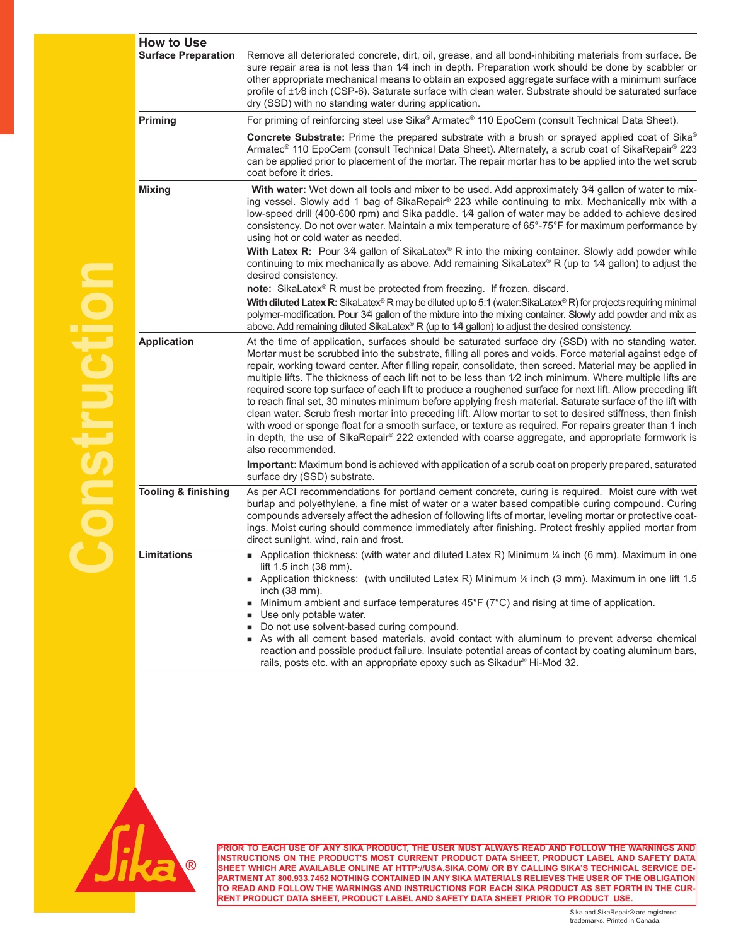| <b>How to Use</b>              |                                                                                                                                                                                                                                                                                                                                                                                                                                                                                                                                                                                                                                                                                                                                                                                                                                                                                                                                                                                                                     |
|--------------------------------|---------------------------------------------------------------------------------------------------------------------------------------------------------------------------------------------------------------------------------------------------------------------------------------------------------------------------------------------------------------------------------------------------------------------------------------------------------------------------------------------------------------------------------------------------------------------------------------------------------------------------------------------------------------------------------------------------------------------------------------------------------------------------------------------------------------------------------------------------------------------------------------------------------------------------------------------------------------------------------------------------------------------|
| <b>Surface Preparation</b>     | Remove all deteriorated concrete, dirt, oil, grease, and all bond-inhibiting materials from surface. Be<br>sure repair area is not less than 1/4 inch in depth. Preparation work should be done by scabbler or<br>other appropriate mechanical means to obtain an exposed aggregate surface with a minimum surface<br>profile of $\pm\sqrt{2}$ inch (CSP-6). Saturate surface with clean water. Substrate should be saturated surface<br>dry (SSD) with no standing water during application.                                                                                                                                                                                                                                                                                                                                                                                                                                                                                                                       |
| Priming                        | For priming of reinforcing steel use Sika® Armatec® 110 EpoCem (consult Technical Data Sheet).                                                                                                                                                                                                                                                                                                                                                                                                                                                                                                                                                                                                                                                                                                                                                                                                                                                                                                                      |
|                                | <b>Concrete Substrate:</b> Prime the prepared substrate with a brush or sprayed applied coat of Sika®<br>Armatec® 110 EpoCem (consult Technical Data Sheet). Alternately, a scrub coat of SikaRepair® 223<br>can be applied prior to placement of the mortar. The repair mortar has to be applied into the wet scrub<br>coat before it dries.                                                                                                                                                                                                                                                                                                                                                                                                                                                                                                                                                                                                                                                                       |
| <b>Mixing</b>                  | With water: Wet down all tools and mixer to be used. Add approximately 34 gallon of water to mix-<br>ing vessel. Slowly add 1 bag of SikaRepair® 223 while continuing to mix. Mechanically mix with a<br>low-speed drill (400-600 rpm) and Sika paddle. 1/4 gallon of water may be added to achieve desired<br>consistency. Do not over water. Maintain a mix temperature of 65°-75°F for maximum performance by<br>using hot or cold water as needed.<br>With Latex R: Pour 34 gallon of SikaLatex® R into the mixing container. Slowly add powder while<br>continuing to mix mechanically as above. Add remaining SikaLatex® R (up to $1/4$ gallon) to adjust the<br>desired consistency.                                                                                                                                                                                                                                                                                                                         |
|                                | note: SikaLatex® R must be protected from freezing. If frozen, discard.                                                                                                                                                                                                                                                                                                                                                                                                                                                                                                                                                                                                                                                                                                                                                                                                                                                                                                                                             |
|                                | With diluted Latex R: SikaLatex® R may be diluted up to 5:1 (water:SikaLatex® R) for projects requiring minimal<br>polymer-modification. Pour 34 gallon of the mixture into the mixing container. Slowly add powder and mix as<br>above. Add remaining diluted SikaLatex® R (up to $1/4$ gallon) to adjust the desired consistency.                                                                                                                                                                                                                                                                                                                                                                                                                                                                                                                                                                                                                                                                                 |
| <b>Application</b>             | At the time of application, surfaces should be saturated surface dry (SSD) with no standing water.<br>Mortar must be scrubbed into the substrate, filling all pores and voids. Force material against edge of<br>repair, working toward center. After filling repair, consolidate, then screed. Material may be applied in<br>multiple lifts. The thickness of each lift not to be less than 1/2 inch minimum. Where multiple lifts are<br>required score top surface of each lift to produce a roughened surface for next lift. Allow preceding lift<br>to reach final set, 30 minutes minimum before applying fresh material. Saturate surface of the lift with<br>clean water. Scrub fresh mortar into preceding lift. Allow mortar to set to desired stiffness, then finish<br>with wood or sponge float for a smooth surface, or texture as required. For repairs greater than 1 inch<br>in depth, the use of SikaRepair® 222 extended with coarse aggregate, and appropriate formwork is<br>also recommended. |
|                                | Important: Maximum bond is achieved with application of a scrub coat on properly prepared, saturated<br>surface dry (SSD) substrate.                                                                                                                                                                                                                                                                                                                                                                                                                                                                                                                                                                                                                                                                                                                                                                                                                                                                                |
| <b>Tooling &amp; finishing</b> | As per ACI recommendations for portland cement concrete, curing is required. Moist cure with wet<br>burlap and polyethylene, a fine mist of water or a water based compatible curing compound. Curing<br>compounds adversely affect the adhesion of following lifts of mortar, leveling mortar or protective coat-<br>ings. Moist curing should commence immediately after finishing. Protect freshly applied mortar from<br>direct sunlight, wind, rain and frost.                                                                                                                                                                                                                                                                                                                                                                                                                                                                                                                                                 |
| Limitations                    | Application thickness: (with water and diluted Latex R) Minimum $\frac{1}{4}$ inch (6 mm). Maximum in one<br>lift 1.5 inch (38 mm).<br>■ Application thickness: (with undiluted Latex R) Minimum 1/6 inch (3 mm). Maximum in one lift 1.5<br>inch (38 mm).<br>$\blacksquare$ Minimum ambient and surface temperatures 45°F ( $7^{\circ}$ C) and rising at time of application.<br>Use only potable water.<br>Do not use solvent-based curing compound.<br>As with all cement based materials, avoid contact with aluminum to prevent adverse chemical<br>reaction and possible product failure. Insulate potential areas of contact by coating aluminum bars,<br>rails, posts etc. with an appropriate epoxy such as Sikadur® Hi-Mod 32.                                                                                                                                                                                                                                                                            |





**PRIOR TO EACH USE OF ANY SIKA PRODUCT, THE USER MUST ALWAYS READ AND FOLLOW THE WARNINGS AND INSTRUCTIONS ON THE PRODUCT'S MOST CURRENT PRODUCT DATA SHEET, PRODUCT LABEL AND SAFETY DATA SHEET WHICH ARE AVAILABLE ONLINE AT HTTP://USA.SIKA.COM/ OR BY CALLING SIKA'S TECHNICAL SERVICE DE-PARTMENT AT 800.933.7452 NOTHING CONTAINED IN ANY SIKA MATERIALS RELIEVES THE USER OF THE OBLIGATION TO READ AND FOLLOW THE WARNINGS AND INSTRUCTIONS FOR EACH SIKA PRODUCT AS SET FORTH IN THE CUR-RENT PRODUCT DATA SHEET, PRODUCT LABEL AND SAFETY DATA SHEET PRIOR TO PRODUCT USE.**

> Sika and SikaRepair® are registered trademarks. Printed in Canada.